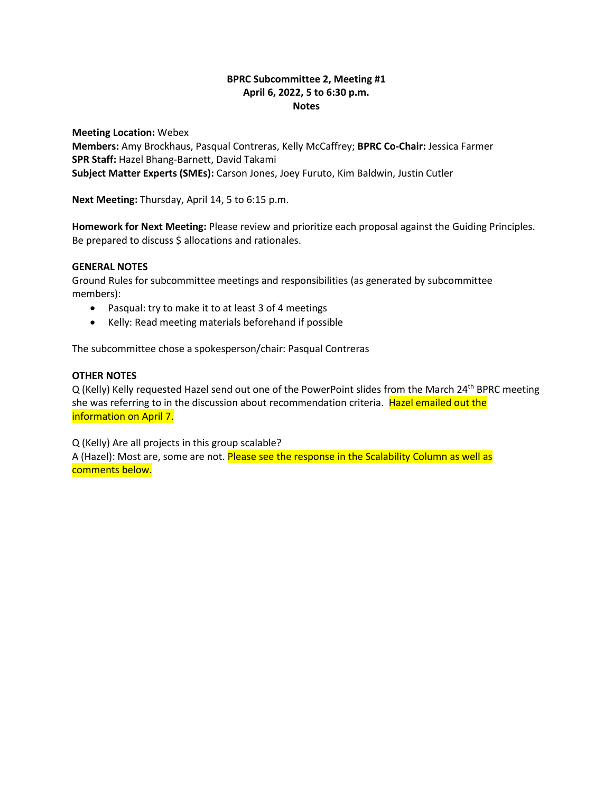## **BPRC Subcommittee 2, Meeting #1 April 6, 2022, 5 to 6:30 p.m. Notes**

**Meeting Location:** Webex **Members:** Amy Brockhaus, Pasqual Contreras, Kelly McCaffrey; **BPRC Co-Chair:** Jessica Farmer **SPR Staff:** Hazel Bhang-Barnett, David Takami **Subject Matter Experts (SMEs):** Carson Jones, Joey Furuto, Kim Baldwin, Justin Cutler

**Next Meeting:** Thursday, April 14, 5 to 6:15 p.m.

**Homework for Next Meeting:** Please review and prioritize each proposal against the Guiding Principles. Be prepared to discuss \$ allocations and rationales.

## **GENERAL NOTES**

Ground Rules for subcommittee meetings and responsibilities (as generated by subcommittee members):

- Pasqual: try to make it to at least 3 of 4 meetings
- Kelly: Read meeting materials beforehand if possible

The subcommittee chose a spokesperson/chair: Pasqual Contreras

## **OTHER NOTES**

Q (Kelly) Kelly requested Hazel send out one of the PowerPoint slides from the March 24<sup>th</sup> BPRC meeting she was referring to in the discussion about recommendation criteria. Hazel emailed out the information on April 7.

Q (Kelly) Are all projects in this group scalable?

A (Hazel): Most are, some are not. Please see the response in the Scalability Column as well as comments below.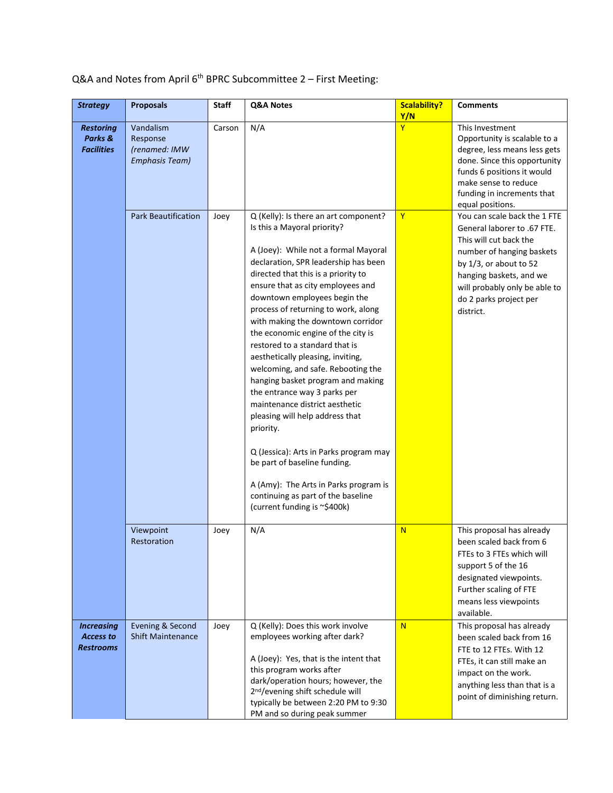## $Q&A$  and Notes from April  $6<sup>th</sup>$  BPRC Subcommittee 2 – First Meeting:

| <b>Strategy</b>                                           | <b>Proposals</b>                                                | <b>Staff</b> | Q&A Notes                                                                                                                                                                                                                                                                                                                                                                                                                                                                                                                                                                                                                                                                                                                                                                                                                                       | <b>Scalability?</b><br>Y/N | <b>Comments</b>                                                                                                                                                                                                                                 |
|-----------------------------------------------------------|-----------------------------------------------------------------|--------------|-------------------------------------------------------------------------------------------------------------------------------------------------------------------------------------------------------------------------------------------------------------------------------------------------------------------------------------------------------------------------------------------------------------------------------------------------------------------------------------------------------------------------------------------------------------------------------------------------------------------------------------------------------------------------------------------------------------------------------------------------------------------------------------------------------------------------------------------------|----------------------------|-------------------------------------------------------------------------------------------------------------------------------------------------------------------------------------------------------------------------------------------------|
| <b>Restoring</b><br>Parks &<br><b>Facilities</b>          | Vandalism<br>Response<br>(renamed: IMW<br><b>Emphasis Team)</b> | Carson       | N/A                                                                                                                                                                                                                                                                                                                                                                                                                                                                                                                                                                                                                                                                                                                                                                                                                                             | Ÿ                          | This Investment<br>Opportunity is scalable to a<br>degree, less means less gets<br>done. Since this opportunity<br>funds 6 positions it would<br>make sense to reduce<br>funding in increments that<br>equal positions.                         |
|                                                           | <b>Park Beautification</b>                                      | Joey         | Q (Kelly): Is there an art component?<br>Is this a Mayoral priority?<br>A (Joey): While not a formal Mayoral<br>declaration, SPR leadership has been<br>directed that this is a priority to<br>ensure that as city employees and<br>downtown employees begin the<br>process of returning to work, along<br>with making the downtown corridor<br>the economic engine of the city is<br>restored to a standard that is<br>aesthetically pleasing, inviting,<br>welcoming, and safe. Rebooting the<br>hanging basket program and making<br>the entrance way 3 parks per<br>maintenance district aesthetic<br>pleasing will help address that<br>priority.<br>Q (Jessica): Arts in Parks program may<br>be part of baseline funding.<br>A (Amy): The Arts in Parks program is<br>continuing as part of the baseline<br>(current funding is ~\$400k) | Ÿ                          | You can scale back the 1 FTE<br>General laborer to .67 FTE.<br>This will cut back the<br>number of hanging baskets<br>by 1/3, or about to 52<br>hanging baskets, and we<br>will probably only be able to<br>do 2 parks project per<br>district. |
|                                                           | Viewpoint<br>Restoration                                        | Joey         | N/A                                                                                                                                                                                                                                                                                                                                                                                                                                                                                                                                                                                                                                                                                                                                                                                                                                             | N                          | This proposal has already<br>been scaled back from 6<br>FTEs to 3 FTEs which will<br>support 5 of the 16<br>designated viewpoints.<br>Further scaling of FTE<br>means less viewpoints<br>available.                                             |
| <b>Increasing</b><br><b>Access to</b><br><b>Restrooms</b> | Evening & Second<br><b>Shift Maintenance</b>                    | Joey         | Q (Kelly): Does this work involve<br>employees working after dark?<br>A (Joey): Yes, that is the intent that<br>this program works after<br>dark/operation hours; however, the<br>2 <sup>nd</sup> /evening shift schedule will<br>typically be between 2:20 PM to 9:30<br>PM and so during peak summer                                                                                                                                                                                                                                                                                                                                                                                                                                                                                                                                          | N                          | This proposal has already<br>been scaled back from 16<br>FTE to 12 FTEs. With 12<br>FTEs, it can still make an<br>impact on the work.<br>anything less than that is a<br>point of diminishing return.                                           |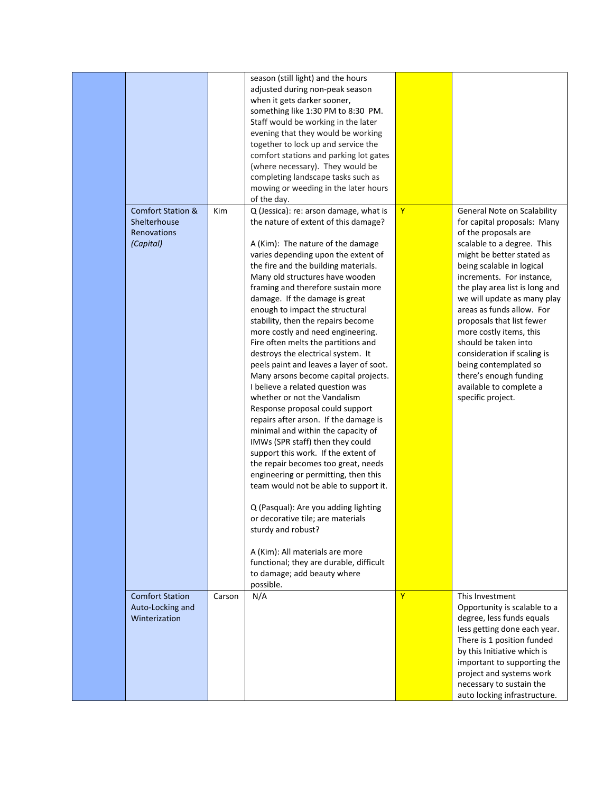|                              |        | season (still light) and the hours      |                |                                |
|------------------------------|--------|-----------------------------------------|----------------|--------------------------------|
|                              |        | adjusted during non-peak season         |                |                                |
|                              |        | when it gets darker sooner,             |                |                                |
|                              |        | something like 1:30 PM to 8:30 PM.      |                |                                |
|                              |        |                                         |                |                                |
|                              |        | Staff would be working in the later     |                |                                |
|                              |        | evening that they would be working      |                |                                |
|                              |        | together to lock up and service the     |                |                                |
|                              |        | comfort stations and parking lot gates  |                |                                |
|                              |        | (where necessary). They would be        |                |                                |
|                              |        | completing landscape tasks such as      |                |                                |
|                              |        | mowing or weeding in the later hours    |                |                                |
|                              |        | of the day.                             |                |                                |
| <b>Comfort Station &amp;</b> |        |                                         | $\overline{Y}$ |                                |
|                              | Kim    | Q (Jessica): re: arson damage, what is  |                | General Note on Scalability    |
| Shelterhouse                 |        | the nature of extent of this damage?    |                | for capital proposals: Many    |
| Renovations                  |        |                                         |                | of the proposals are           |
| (Capital)                    |        | A (Kim): The nature of the damage       |                | scalable to a degree. This     |
|                              |        | varies depending upon the extent of     |                | might be better stated as      |
|                              |        | the fire and the building materials.    |                | being scalable in logical      |
|                              |        | Many old structures have wooden         |                | increments. For instance,      |
|                              |        | framing and therefore sustain more      |                | the play area list is long and |
|                              |        | damage. If the damage is great          |                | we will update as many play    |
|                              |        | enough to impact the structural         |                | areas as funds allow. For      |
|                              |        |                                         |                |                                |
|                              |        | stability, then the repairs become      |                | proposals that list fewer      |
|                              |        | more costly and need engineering.       |                | more costly items, this        |
|                              |        | Fire often melts the partitions and     |                | should be taken into           |
|                              |        | destroys the electrical system. It      |                | consideration if scaling is    |
|                              |        | peels paint and leaves a layer of soot. |                | being contemplated so          |
|                              |        | Many arsons become capital projects.    |                | there's enough funding         |
|                              |        | I believe a related question was        |                | available to complete a        |
|                              |        | whether or not the Vandalism            |                | specific project.              |
|                              |        | Response proposal could support         |                |                                |
|                              |        | repairs after arson. If the damage is   |                |                                |
|                              |        |                                         |                |                                |
|                              |        | minimal and within the capacity of      |                |                                |
|                              |        | IMWs (SPR staff) then they could        |                |                                |
|                              |        | support this work. If the extent of     |                |                                |
|                              |        | the repair becomes too great, needs     |                |                                |
|                              |        | engineering or permitting, then this    |                |                                |
|                              |        | team would not be able to support it.   |                |                                |
|                              |        |                                         |                |                                |
|                              |        | Q (Pasqual): Are you adding lighting    |                |                                |
|                              |        | or decorative tile; are materials       |                |                                |
|                              |        | sturdy and robust?                      |                |                                |
|                              |        |                                         |                |                                |
|                              |        | A (Kim): All materials are more         |                |                                |
|                              |        | functional; they are durable, difficult |                |                                |
|                              |        |                                         |                |                                |
|                              |        | to damage; add beauty where             |                |                                |
|                              |        | possible.                               |                |                                |
| <b>Comfort Station</b>       | Carson | N/A                                     | $\mathbf{Y}$   | This Investment                |
| Auto-Locking and             |        |                                         |                | Opportunity is scalable to a   |
| Winterization                |        |                                         |                | degree, less funds equals      |
|                              |        |                                         |                | less getting done each year.   |
|                              |        |                                         |                | There is 1 position funded     |
|                              |        |                                         |                | by this Initiative which is    |
|                              |        |                                         |                | important to supporting the    |
|                              |        |                                         |                | project and systems work       |
|                              |        |                                         |                |                                |
|                              |        |                                         |                | necessary to sustain the       |
|                              |        |                                         |                | auto locking infrastructure.   |